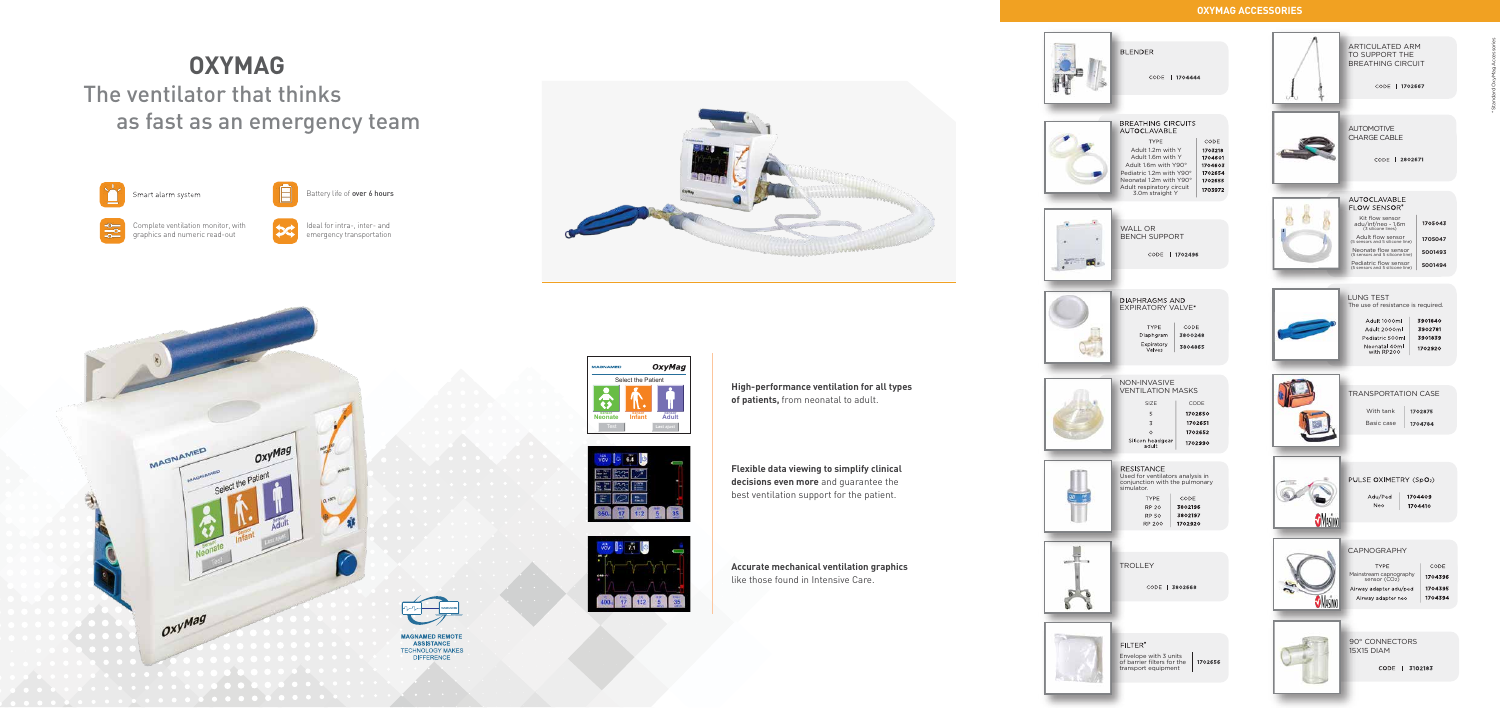# **OXYMAG** The ventilator that thinks as fast as an emergency team



Smart alarm system



## **OXYMAG ACCESSORIES**

**High-performance ventilation for all types of patients,** from neonatal to adult.



**Flexible data viewing to simplify clinical decisions even more** and guarantee the best ventilation support for the patient.

**Accurate mechanical ventilation graphics** like those found in Intensive Care.



Complete ventilation monitor, with graphics and numeric read-out



Battery life of over 6 hours





Ideal for intra-, inter- and emergency transportation

> **MAGNAMED REMOTI ASSISTANCE TECHNOLOGY MAKES DIFFERENCE**

| <b>BLENDER</b><br>CODE   1704444                                                                                                                                                                                                                                                                                   |  |
|--------------------------------------------------------------------------------------------------------------------------------------------------------------------------------------------------------------------------------------------------------------------------------------------------------------------|--|
| <b>BREATHING CIRCUITS</b><br><b>AUTOCLAVABLE</b><br><b>TYPE</b><br>CODE<br>Adult 1.2m with Y<br>1703218<br>Adult 1.6m with Y<br>1704601<br>Adult 1.6m with Y90°<br>1704603<br>Pediatric 1.2m with Y90°<br>1702654<br>Neonatal 1.2m with Y90°<br>1702655<br>Adult respiratory circuit<br>1703972<br>3.0m straight Y |  |
| <b>WALL OR</b><br><b>BENCH SUPPORT</b><br>CODE   1702496                                                                                                                                                                                                                                                           |  |
| <b>DIAPHRAGMS AND</b><br><b>EXPIRATORY VALVE*</b><br>CODE<br><b>TYPE</b><br>3800248<br>Diaphgram<br>Expiratory<br>3804865<br>Valves                                                                                                                                                                                |  |
| NON-INVASIVE<br><b>VENTILATION MASKS</b><br>SIZE<br>CODE<br>5<br>1702650<br>3<br>1702651<br>1702652<br>0<br>Silicon headgear<br>adult<br>1702990                                                                                                                                                                   |  |
| <b>RESISTANCE</b><br>Used for ventilators analysis in<br>conjunction with the pulmonary<br>simulator.<br><b>TYPE</b><br>CODE<br>3802196<br><b>RP 20</b><br>3802197<br><b>RP 50</b><br><b>RP 200</b><br>1702920                                                                                                     |  |
| <b>TROLLEY</b><br>CODE   3802668                                                                                                                                                                                                                                                                                   |  |
| FILTER*<br>Envelope with 3 units<br>of barrier filters for the<br>1702656<br>transport equipment                                                                                                                                                                                                                   |  |
|                                                                                                                                                                                                                                                                                                                    |  |